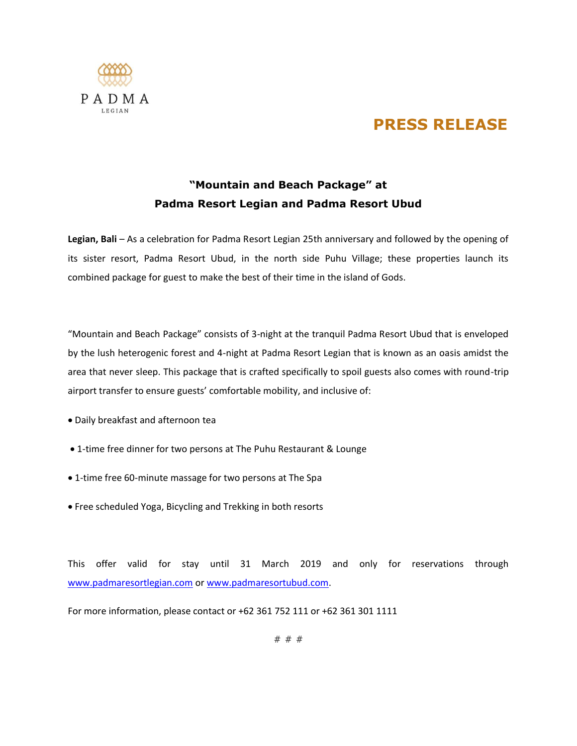

## **PRESS RELEASE**

## **"Mountain and Beach Package" at Padma Resort Legian and Padma Resort Ubud**

**Legian, Bali** – As a celebration for Padma Resort Legian 25th anniversary and followed by the opening of its sister resort, Padma Resort Ubud, in the north side Puhu Village; these properties launch its combined package for guest to make the best of their time in the island of Gods.

"Mountain and Beach Package" consists of 3-night at the tranquil Padma Resort Ubud that is enveloped by the lush heterogenic forest and 4-night at Padma Resort Legian that is known as an oasis amidst the area that never sleep. This package that is crafted specifically to spoil guests also comes with round-trip airport transfer to ensure guests' comfortable mobility, and inclusive of:

- Daily breakfast and afternoon tea
- 1-time free dinner for two persons at The Puhu Restaurant & Lounge
- 1-time free 60-minute massage for two persons at The Spa
- Free scheduled Yoga, Bicycling and Trekking in both resorts

This offer valid for stay until 31 March 2019 and only for reservations through [www.padmaresortlegian.com](http://www.padmaresortlegian.com/) or [www.padmaresortubud.com.](http://www.padmaresortubud.com/)

For more information, please contact or +62 361 752 111 or +62 361 301 1111

# # #